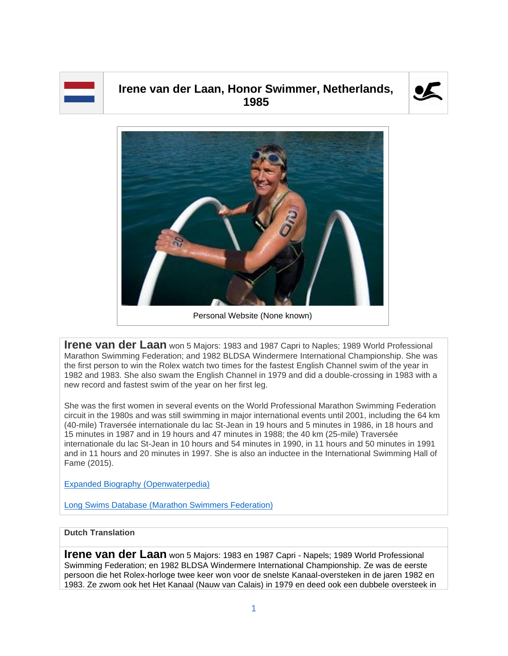

## **Irene van der Laan, Honor Swimmer, Netherlands, 1985**





Personal Website (None known)

**Irene van der Laan** won 5 Majors: 1983 and 1987 Capri to Naples; 1989 World Professional Marathon Swimming Federation; and 1982 BLDSA Windermere International Championship. She was the first person to win the Rolex watch two times for the fastest English Channel swim of the year in 1982 and 1983. She also swam the English Channel in 1979 and did a double-crossing in 1983 with a new record and fastest swim of the year on her first leg.

She was the first women in several events on the World Professional Marathon Swimming Federation circuit in the 1980s and was still swimming in major international events until 2001, including the 64 km (40-mile) Traversée internationale du lac St-Jean in 19 hours and 5 minutes in 1986, in 18 hours and 15 minutes in 1987 and in 19 hours and 47 minutes in 1988; the 40 km (25-mile) Traversée internationale du lac St-Jean in 10 hours and 54 minutes in 1990, in 11 hours and 50 minutes in 1991 and in 11 hours and 20 minutes in 1997. She is also an inductee in the International Swimming Hall of Fame (2015).

[Expanded Biography](https://www.openwaterpedia.com/index.php?title=Irene_van_der_Laan) (Openwaterpedia)

Long Swims Database [\(Marathon Swimmers Federation\)](https://db.marathonswimmers.org/p/irene-van-der-laan/)

## **Dutch Translation**

**Irene van der Laan** won 5 Majors: 1983 en 1987 Capri - Napels; 1989 World Professional Swimming Federation; en 1982 BLDSA Windermere International Championship. Ze was de eerste persoon die het Rolex-horloge twee keer won voor de snelste Kanaal-oversteken in de jaren 1982 en 1983. Ze zwom ook het Het Kanaal (Nauw van Calais) in 1979 en deed ook een dubbele oversteek in